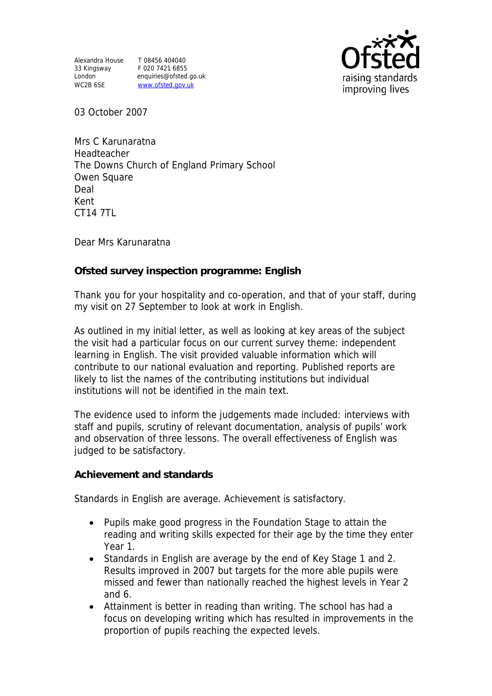Alexandra House T 08456 404040 33 Kingsway F 020 7421 6855 WC2B 6SE WWW.ofsted.gov.uk

London enquiries@ofsted.go.uk



03 October 2007

Mrs C Karunaratna Headteacher The Downs Church of England Primary School Owen Square Deal Kent CT14 7TL

Dear Mrs Karunaratna

**Ofsted survey inspection programme: English** 

Thank you for your hospitality and co-operation, and that of your staff, during my visit on 27 September to look at work in English.

As outlined in my initial letter, as well as looking at key areas of the subject the visit had a particular focus on our current survey theme: independent learning in English. The visit provided valuable information which will contribute to our national evaluation and reporting. Published reports are likely to list the names of the contributing institutions but individual institutions will not be identified in the main text.

The evidence used to inform the judgements made included: interviews with staff and pupils, scrutiny of relevant documentation, analysis of pupils' work and observation of three lessons. The overall effectiveness of English was judged to be satisfactory.

**Achievement and standards** 

Standards in English are average. Achievement is satisfactory.

- Pupils make good progress in the Foundation Stage to attain the reading and writing skills expected for their age by the time they enter Year 1.
- Standards in English are average by the end of Key Stage 1 and 2. Results improved in 2007 but targets for the more able pupils were missed and fewer than nationally reached the highest levels in Year 2 and 6.
- Attainment is better in reading than writing. The school has had a focus on developing writing which has resulted in improvements in the proportion of pupils reaching the expected levels.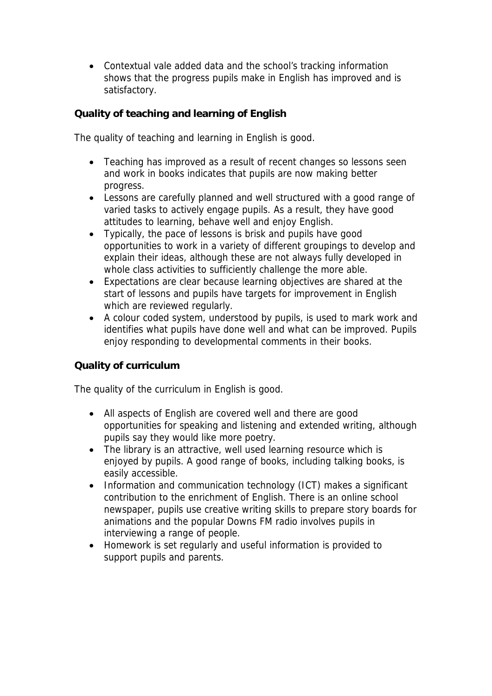Contextual vale added data and the school's tracking information shows that the progress pupils make in English has improved and is satisfactory.

**Quality of teaching and learning of English**

The quality of teaching and learning in English is good.

- Teaching has improved as a result of recent changes so lessons seen and work in books indicates that pupils are now making better progress.
- Lessons are carefully planned and well structured with a good range of varied tasks to actively engage pupils. As a result, they have good attitudes to learning, behave well and enjoy English.
- Typically, the pace of lessons is brisk and pupils have good opportunities to work in a variety of different groupings to develop and explain their ideas, although these are not always fully developed in whole class activities to sufficiently challenge the more able.
- Expectations are clear because learning objectives are shared at the start of lessons and pupils have targets for improvement in English which are reviewed regularly.
- A colour coded system, understood by pupils, is used to mark work and identifies what pupils have done well and what can be improved. Pupils enjoy responding to developmental comments in their books.

## **Quality of curriculum**

The quality of the curriculum in English is good.

- All aspects of English are covered well and there are good opportunities for speaking and listening and extended writing, although pupils say they would like more poetry.
- The library is an attractive, well used learning resource which is enjoyed by pupils. A good range of books, including talking books, is easily accessible.
- Information and communication technology (ICT) makes a significant contribution to the enrichment of English. There is an online school newspaper, pupils use creative writing skills to prepare story boards for animations and the popular Downs FM radio involves pupils in interviewing a range of people.
- Homework is set regularly and useful information is provided to support pupils and parents.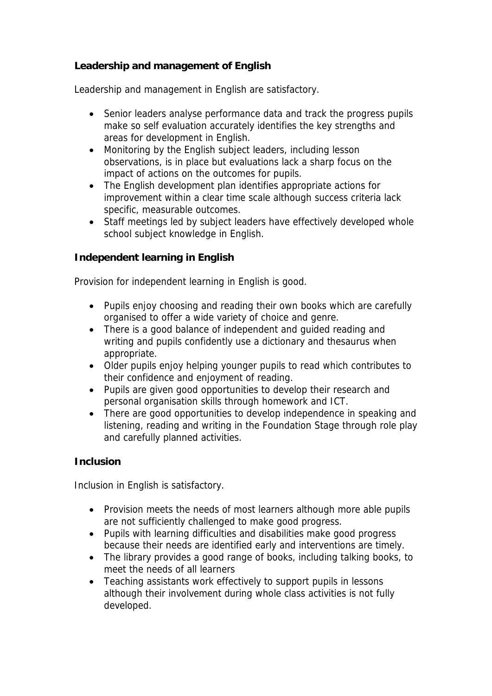## **Leadership and management of English**

Leadership and management in English are satisfactory.

- Senior leaders analyse performance data and track the progress pupils make so self evaluation accurately identifies the key strengths and areas for development in English.
- Monitoring by the English subject leaders, including lesson observations, is in place but evaluations lack a sharp focus on the impact of actions on the outcomes for pupils.
- The English development plan identifies appropriate actions for improvement within a clear time scale although success criteria lack specific, measurable outcomes.
- Staff meetings led by subject leaders have effectively developed whole school subject knowledge in English.

**Independent learning in English**

Provision for independent learning in English is good.

- Pupils enjoy choosing and reading their own books which are carefully organised to offer a wide variety of choice and genre.
- There is a good balance of independent and quided reading and writing and pupils confidently use a dictionary and thesaurus when appropriate.
- Older pupils enjoy helping younger pupils to read which contributes to their confidence and enjoyment of reading.
- Pupils are given good opportunities to develop their research and personal organisation skills through homework and ICT.
- There are good opportunities to develop independence in speaking and listening, reading and writing in the Foundation Stage through role play and carefully planned activities.

## **Inclusion**

Inclusion in English is satisfactory.

- Provision meets the needs of most learners although more able pupils are not sufficiently challenged to make good progress.
- Pupils with learning difficulties and disabilities make good progress because their needs are identified early and interventions are timely.
- The library provides a good range of books, including talking books, to meet the needs of all learners
- Teaching assistants work effectively to support pupils in lessons although their involvement during whole class activities is not fully developed.